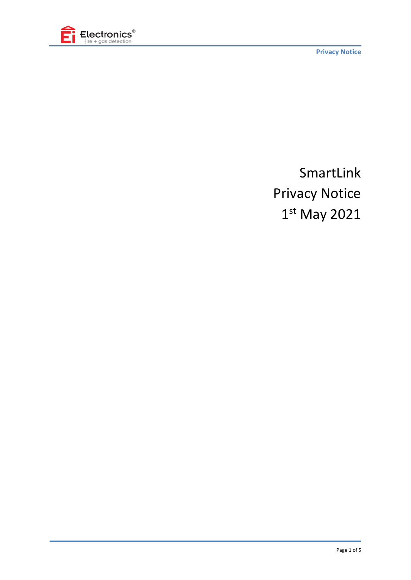

**Privacy Notice**

# SmartLink Privacy Notice 1 st May 2021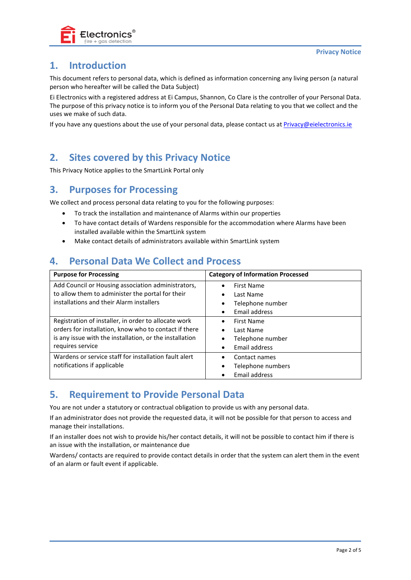

# **1. Introduction**

This document refers to personal data, which is defined as information concerning any living person (a natural person who hereafter will be called the Data Subject)

Ei Electronics with a registered address at Ei Campus, Shannon, Co Clare is the controller of your Personal Data. The purpose of this privacy notice is to inform you of the Personal Data relating to you that we collect and the uses we make of such data.

If you have any questions about the use of your personal data, please contact us at [Privacy@eielectronics.ie](mailto:Privacy@eielectronics.ie)

## **2. Sites covered by this Privacy Notice**

This Privacy Notice applies to the SmartLink Portal only

#### **3. Purposes for Processing**

We collect and process personal data relating to you for the following purposes:

- To track the installation and maintenance of Alarms within our properties
- To have contact details of Wardens responsible for the accommodation where Alarms have been installed available within the SmartLink system
- Make contact details of administrators available within SmartLink system

## **4. Personal Data We Collect and Process**

| <b>Purpose for Processing</b>                           | <b>Category of Information Processed</b> |
|---------------------------------------------------------|------------------------------------------|
| Add Council or Housing association administrators,      | First Name<br>$\bullet$                  |
| to allow them to administer the portal for their        | Last Name<br>$\bullet$                   |
| installations and their Alarm installers                | Telephone number<br>٠                    |
|                                                         | Email address<br>٠                       |
| Registration of installer, in order to allocate work    | First Name<br>$\bullet$                  |
| orders for installation, know who to contact if there   | Last Name<br>$\bullet$                   |
| is any issue with the installation, or the installation | Telephone number<br>٠                    |
| requires service                                        | Email address<br>$\bullet$               |
| Wardens or service staff for installation fault alert   | Contact names<br>$\bullet$               |
| notifications if applicable                             | Telephone numbers<br>$\bullet$           |
|                                                         | Email address<br>$\bullet$               |

#### **5. Requirement to Provide Personal Data**

You are not under a statutory or contractual obligation to provide us with any personal data.

If an administrator does not provide the requested data, it will not be possible for that person to access and manage their installations.

If an installer does not wish to provide his/her contact details, it will not be possible to contact him if there is an issue with the installation, or maintenance due

Wardens/ contacts are required to provide contact details in order that the system can alert them in the event of an alarm or fault event if applicable.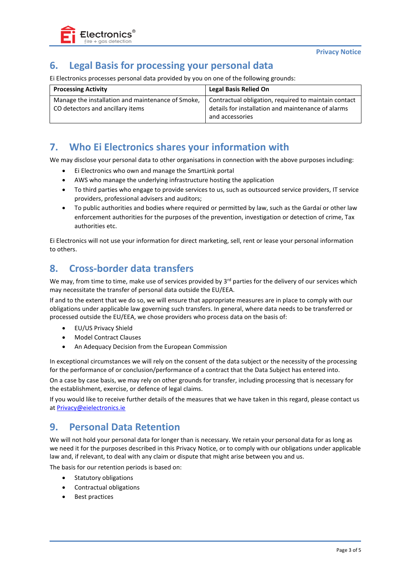

## **6. Legal Basis for processing your personal data**

Ei Electronics processes personal data provided by you on one of the following grounds:

| <b>Processing Activity</b>                                                            | <b>Legal Basis Relied On</b>                                                                                                  |
|---------------------------------------------------------------------------------------|-------------------------------------------------------------------------------------------------------------------------------|
| Manage the installation and maintenance of Smoke,<br>CO detectors and ancillary items | Contractual obligation, required to maintain contact<br>details for installation and maintenance of alarms<br>and accessories |

#### **7. Who Ei Electronics shares your information with**

We may disclose your personal data to other organisations in connection with the above purposes including:

- Ei Electronics who own and manage the SmartLink portal
- AWS who manage the underlying infrastructure hosting the application
- To third parties who engage to provide services to us, such as outsourced service providers, IT service providers, professional advisers and auditors;
- To public authorities and bodies where required or permitted by law, such as the Gardaí or other law enforcement authorities for the purposes of the prevention, investigation or detection of crime, Tax authorities etc.

Ei Electronics will not use your information for direct marketing, sell, rent or lease your personal information to others.

#### **8. Cross-border data transfers**

We may, from time to time, make use of services provided by 3<sup>rd</sup> parties for the delivery of our services which may necessitate the transfer of personal data outside the EU/EEA.

If and to the extent that we do so, we will ensure that appropriate measures are in place to comply with our obligations under applicable law governing such transfers. In general, where data needs to be transferred or processed outside the EU/EEA, we chose providers who process data on the basis of:

- EU/US Privacy Shield
- Model Contract Clauses
- An Adequacy Decision from the European Commission

In exceptional circumstances we will rely on the consent of the data subject or the necessity of the processing for the performance of or conclusion/performance of a contract that the Data Subject has entered into.

On a case by case basis, we may rely on other grounds for transfer, including processing that is necessary for the establishment, exercise, or defence of legal claims.

If you would like to receive further details of the measures that we have taken in this regard, please contact us a[t Privacy@eielectronics.ie](mailto:Privacy@eielectronics.ie)

#### **9. Personal Data Retention**

We will not hold your personal data for longer than is necessary. We retain your personal data for as long as we need it for the purposes described in this Privacy Notice, or to comply with our obligations under applicable law and, if relevant, to deal with any claim or dispute that might arise between you and us.

The basis for our retention periods is based on:

- Statutory obligations
- Contractual obligations
- Best practices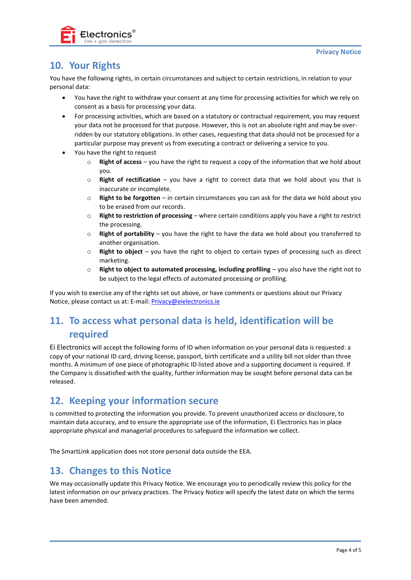

# **10. Your Rights**

You have the following rights, in certain circumstances and subject to certain restrictions, in relation to your personal data:

- You have the right to withdraw your consent at any time for processing activities for which we rely on consent as a basis for processing your data.
- For processing activities, which are based on a statutory or contractual requirement, you may request your data not be processed for that purpose. However, this is not an absolute right and may be overridden by our statutory obligations. In other cases, requesting that data should not be processed for a particular purpose may prevent us from executing a contract or delivering a service to you.
- You have the right to request
	- **Right of access** you have the right to request a copy of the information that we hold about you.
	- o **Right of rectification** you have a right to correct data that we hold about you that is inaccurate or incomplete.
	- o **Right to be forgotten** in certain circumstances you can ask for the data we hold about you to be erased from our records.
	- o **Right to restriction of processing** where certain conditions apply you have a right to restrict the processing.
	- o **Right of portability** you have the right to have the data we hold about you transferred to another organisation.
	- o **Right to object** you have the right to object to certain types of processing such as direct marketing.
	- o **Right to object to automated processing, including profiling** you also have the right not to be subject to the legal effects of automated processing or profiling.

If you wish to exercise any of the rights set out above, or have comments or questions about our Privacy Notice, please contact us at: E-mail[: Privacy@eielectronics.ie](mailto:Privacy@eielectronics.ie)

# **11. To access what personal data is held, identification will be required**

Ei Electronics will accept the following forms of ID when information on your personal data is requested: a copy of your national ID card, driving license, passport, birth certificate and a utility bill not older than three months. A minimum of one piece of photographic ID listed above and a supporting document is required. If the Company is dissatisfied with the quality, further information may be sought before personal data can be released.

#### **12. Keeping your information secure**

is committed to protecting the information you provide. To prevent unauthorized access or disclosure, to maintain data accuracy, and to ensure the appropriate use of the information, Ei Electronics has in place appropriate physical and managerial procedures to safeguard the information we collect.

The SmartLink application does not store personal data outside the EEA.

## **13. Changes to this Notice**

We may occasionally update this Privacy Notice. We encourage you to periodically review this policy for the latest information on our privacy practices. The Privacy Notice will specify the latest date on which the terms have been amended.